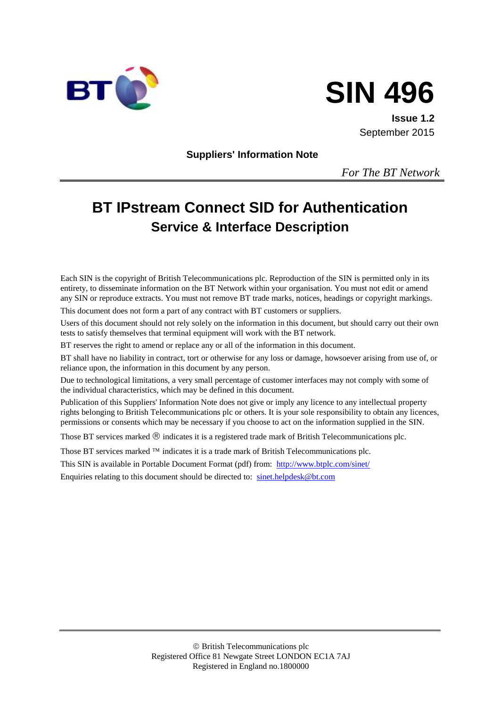



**Issue 1.2** September 2015

**Suppliers' Information Note**

*For The BT Network*

# **BT IPstream Connect SID for Authentication Service & Interface Description**

Each SIN is the copyright of British Telecommunications plc. Reproduction of the SIN is permitted only in its entirety, to disseminate information on the BT Network within your organisation. You must not edit or amend any SIN or reproduce extracts. You must not remove BT trade marks, notices, headings or copyright markings.

This document does not form a part of any contract with BT customers or suppliers.

Users of this document should not rely solely on the information in this document, but should carry out their own tests to satisfy themselves that terminal equipment will work with the BT network.

BT reserves the right to amend or replace any or all of the information in this document.

BT shall have no liability in contract, tort or otherwise for any loss or damage, howsoever arising from use of, or reliance upon, the information in this document by any person.

Due to technological limitations, a very small percentage of customer interfaces may not comply with some of the individual characteristics, which may be defined in this document.

Publication of this Suppliers' Information Note does not give or imply any licence to any intellectual property rights belonging to British Telecommunications plc or others. It is your sole responsibility to obtain any licences, permissions or consents which may be necessary if you choose to act on the information supplied in the SIN.

Those BT services marked  $\mathcal{R}$  indicates it is a registered trade mark of British Telecommunications plc.

Those BT services marked  $TM$  indicates it is a trade mark of British Telecommunications plc.

This SIN is available in Portable Document Format (pdf) from: <http://www.btplc.com/sinet/>

Enquiries relating to this document should be directed to: [sinet.helpdesk@bt.com](mailto:sinet.helpdesk@bt.com)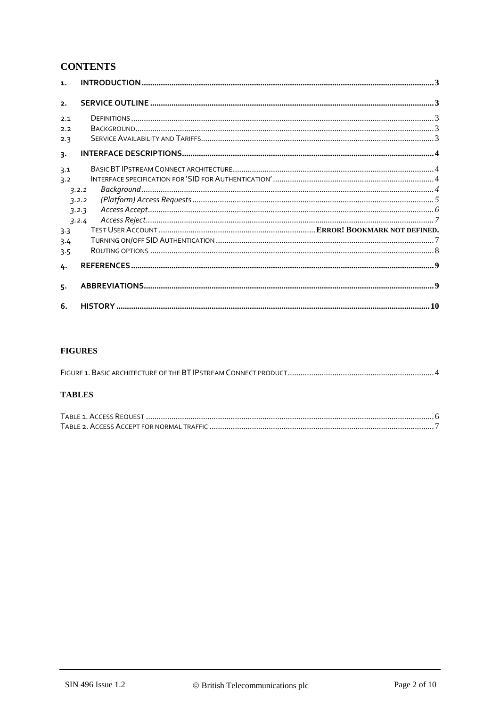## **CONTENTS**

| $\mathbf{1}$ . |       |  |
|----------------|-------|--|
| 2.             |       |  |
| 2.1            |       |  |
| 2.2            |       |  |
| 2.3            |       |  |
| 3.             |       |  |
| 3.1            |       |  |
| 3.2            |       |  |
|                | 7.2.1 |  |
|                | 3.2.2 |  |
|                | 3.2.3 |  |
|                | 3.2.4 |  |
| 3.3            |       |  |
| 3.4            |       |  |
| 3.5            |       |  |
| 4.             |       |  |
| 5.             |       |  |
| 6.             |       |  |

#### **FIGURES**

#### **TABLES**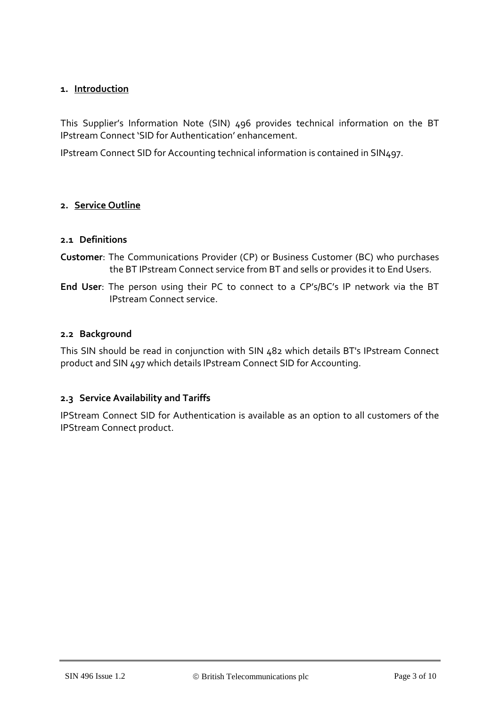#### **1. Introduction**

This Supplier's Information Note (SIN) 496 provides technical information on the BT IPstream Connect 'SID for Authentication' enhancement.

IPstream Connect SID for Accounting technical information is contained in SIN497.

#### **2. Service Outline**

#### **2.1 Definitions**

- **Customer**: The Communications Provider (CP) or Business Customer (BC) who purchases the BT IPstream Connect service from BT and sells or provides it to End Users.
- **End User**: The person using their PC to connect to a CP's/BC's IP network via the BT IPstream Connect service.

#### **2.2 Background**

This SIN should be read in conjunction with SIN 482 which details BT's IPstream Connect product and SIN 497 which details IPstream Connect SID for Accounting.

#### **2.3 Service Availability and Tariffs**

IPStream Connect SID for Authentication is available as an option to all customers of the IPStream Connect product.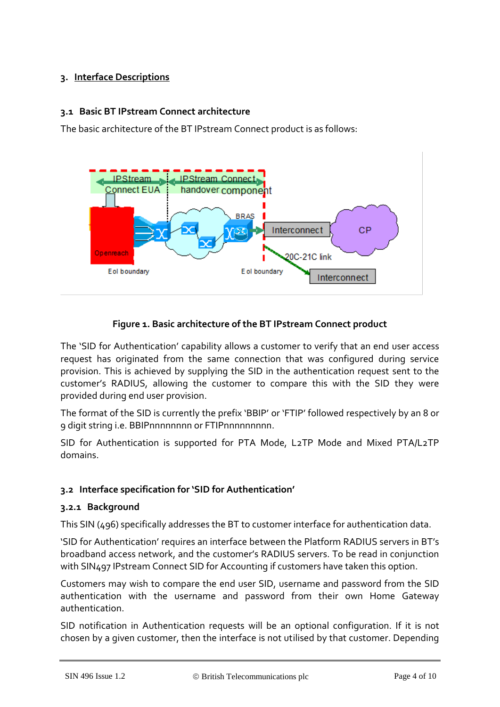## **3. Interface Descriptions**

#### **3.1 Basic BT IPstream Connect architecture**

The basic architecture of the BT IPstream Connect product is as follows:



#### **Figure 1. Basic architecture of the BT IPstream Connect product**

The 'SID for Authentication' capability allows a customer to verify that an end user access request has originated from the same connection that was configured during service provision. This is achieved by supplying the SID in the authentication request sent to the customer's RADIUS, allowing the customer to compare this with the SID they were provided during end user provision.

The format of the SID is currently the prefix 'BBIP' or 'FTIP' followed respectively by an 8 or 9 digit string i.e. BBIPnnnnnnnn or FTIPnnnnnnnnn.

SID for Authentication is supported for PTA Mode, L2TP Mode and Mixed PTA/L2TP domains.

## **3.2 Interface specification for 'SID for Authentication'**

#### **3.2.1 Background**

This SIN (496) specifically addresses the BT to customer interface for authentication data.

'SID for Authentication' requires an interface between the Platform RADIUS servers in BT's broadband access network, and the customer's RADIUS servers. To be read in conjunction with SIN497 IPstream Connect SID for Accounting if customers have taken this option.

Customers may wish to compare the end user SID, username and password from the SID authentication with the username and password from their own Home Gateway authentication.

SID notification in Authentication requests will be an optional configuration. If it is not chosen by a given customer, then the interface is not utilised by that customer. Depending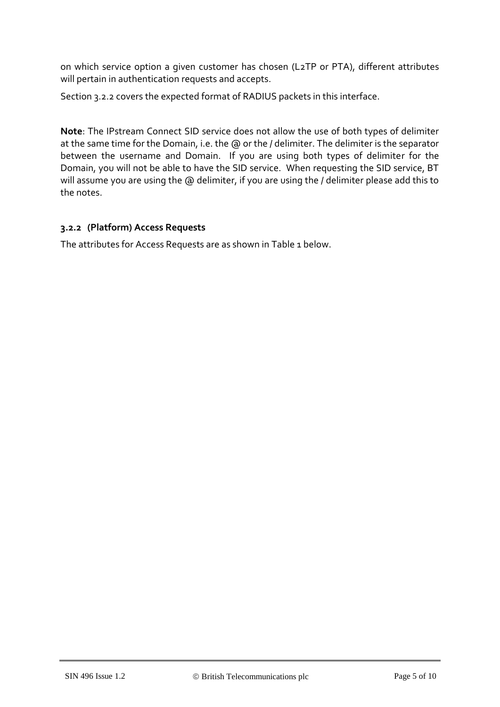on which service option a given customer has chosen (L2TP or PTA), different attributes will pertain in authentication requests and accepts.

Section 3.2.2 covers the expected format of RADIUS packets in this interface.

**Note**: The IPstream Connect SID service does not allow the use of both types of delimiter at the same time for the Domain, i.e. the @ or the / delimiter. The delimiter is the separator between the username and Domain. If you are using both types of delimiter for the Domain, you will not be able to have the SID service. When requesting the SID service, BT will assume you are using the @ delimiter, if you are using the / delimiter please add this to the notes.

#### **3.2.2 (Platform) Access Requests**

The attributes for Access Requests are as shown in [Table 1](#page-5-0) below.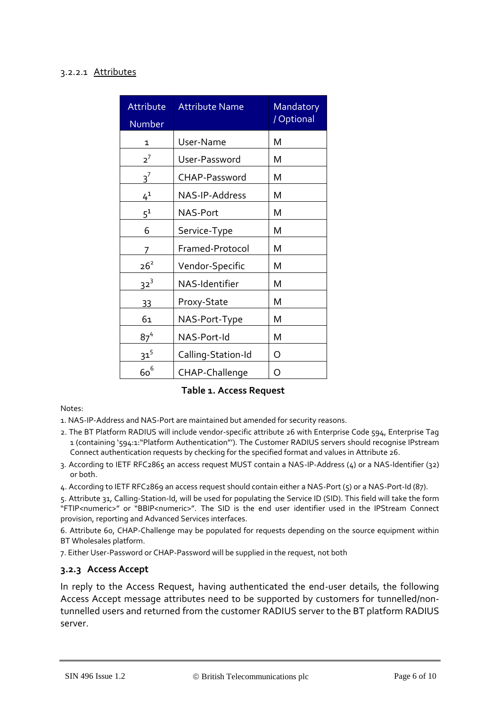#### 3.2.2.1 Attributes

| Attribute<br>Number | <b>Attribute Name</b> | Mandatory<br>/ Optional |
|---------------------|-----------------------|-------------------------|
| 1                   | User-Name             | M                       |
| $2^7$               | User-Password         | Μ                       |
| $3^7$               | <b>CHAP-Password</b>  | м                       |
| $4^{1}$             | NAS-IP-Address        | M                       |
| $5^1$               | NAS-Port              | Μ                       |
| 6                   | Service-Type          | M                       |
| 7                   | Framed-Protocol       | M                       |
| $26^2$              | Vendor-Specific       | M                       |
| $32^3$              | NAS-Identifier        | м                       |
| 33                  | Proxy-State           | м                       |
| 61                  | NAS-Port-Type         | Μ                       |
| 87 <sup>4</sup>     | NAS-Port-Id           | M                       |
| $31^{5}$            | Calling-Station-Id    | O                       |
| $60^6$              | CHAP-Challenge        | Ω                       |

#### **Table 1. Access Request**

#### <span id="page-5-0"></span>Notes:

1. NAS-IP-Address and NAS-Port are maintained but amended for security reasons.

- 2. The BT Platform RADIUS will include vendor-specific attribute 26 with Enterprise Code 594, Enterprise Tag 1 (containing '594:1:"Platform Authentication"'). The Customer RADIUS servers should recognise IPstream Connect authentication requests by checking for the specified format and values in Attribute 26.
- 3. According to IETF RFC2865 an access request MUST contain a NAS-IP-Address (4) or a NAS-Identifier (32) or both.
- 4. According to IETF RFC2869 an access request should contain either a NAS-Port (5) or a NAS-Port-Id (87).

5. Attribute 31, Calling-Station-Id, will be used for populating the Service ID (SID). This field will take the form "FTIP<numeric>" or "BBIP<numeric>". The SID is the end user identifier used in the IPStream Connect provision, reporting and Advanced Services interfaces.

6. Attribute 60, CHAP-Challenge may be populated for requests depending on the source equipment within BT Wholesales platform.

7. Either User-Password or CHAP-Password will be supplied in the request, not both

#### **3.2.3 Access Accept**

In reply to the Access Request, having authenticated the end-user details, the following Access Accept message attributes need to be supported by customers for tunnelled/nontunnelled users and returned from the customer RADIUS server to the BT platform RADIUS server.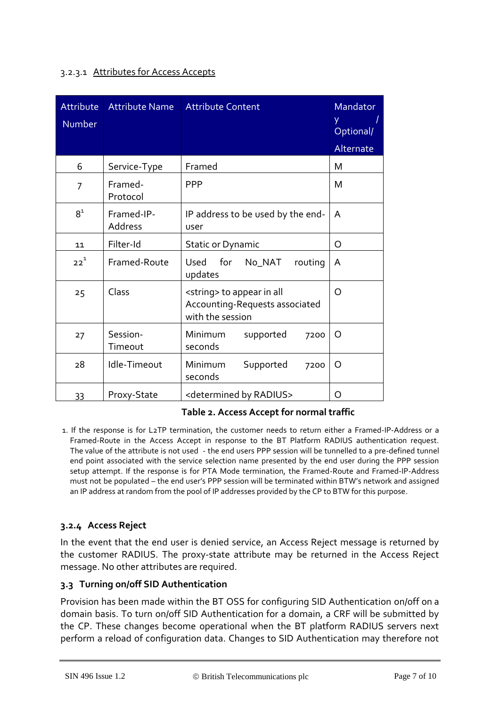#### 3.2.3.1 Attributes for Access Accepts

| Attribute<br>Number | <b>Attribute Name</b> | <b>Attribute Content</b>                                                                   | Mandator<br>y<br>Optional/<br>Alternate |
|---------------------|-----------------------|--------------------------------------------------------------------------------------------|-----------------------------------------|
| 6                   | Service-Type          | Framed                                                                                     | M                                       |
| $\overline{7}$      | Framed-<br>Protocol   | <b>PPP</b>                                                                                 | M                                       |
| $8^1$               | Framed-IP-<br>Address | IP address to be used by the end-<br>user                                                  | A                                       |
| 11                  | Filter-Id             | <b>Static or Dynamic</b>                                                                   | O                                       |
| $22^{1}$            | Framed-Route          | for<br>Used<br>No_NAT<br>routing<br>updates                                                | A                                       |
| 25                  | Class                 | <string> to appear in all<br/>Accounting-Requests associated<br/>with the session</string> | O                                       |
| 27                  | Session-<br>Timeout   | Minimum<br>supported<br>7200<br>seconds                                                    | O                                       |
| 28                  | Idle-Timeout          | Minimum<br>Supported<br>7200<br>seconds                                                    | O                                       |
| 33                  | Proxy-State           | <determined by="" radius=""></determined>                                                  | O                                       |

#### **Table 2. Access Accept for normal traffic**

1. If the response is for L2TP termination, the customer needs to return either a Framed-IP-Address or a Framed-Route in the Access Accept in response to the BT Platform RADIUS authentication request. The value of the attribute is not used - the end users PPP session will be tunnelled to a pre-defined tunnel end point associated with the service selection name presented by the end user during the PPP session setup attempt. If the response is for PTA Mode termination, the Framed-Route and Framed-IP-Address must not be populated – the end user's PPP session will be terminated within BTW's network and assigned an IP address at random from the pool of IP addresses provided by the CP to BTW for this purpose.

#### **3.2.4 Access Reject**

In the event that the end user is denied service, an Access Reject message is returned by the customer RADIUS. The proxy-state attribute may be returned in the Access Reject message. No other attributes are required.

#### **3.3 Turning on/off SID Authentication**

Provision has been made within the BT OSS for configuring SID Authentication on/off on a domain basis. To turn on/off SID Authentication for a domain, a CRF will be submitted by the CP. These changes become operational when the BT platform RADIUS servers next perform a reload of configuration data. Changes to SID Authentication may therefore not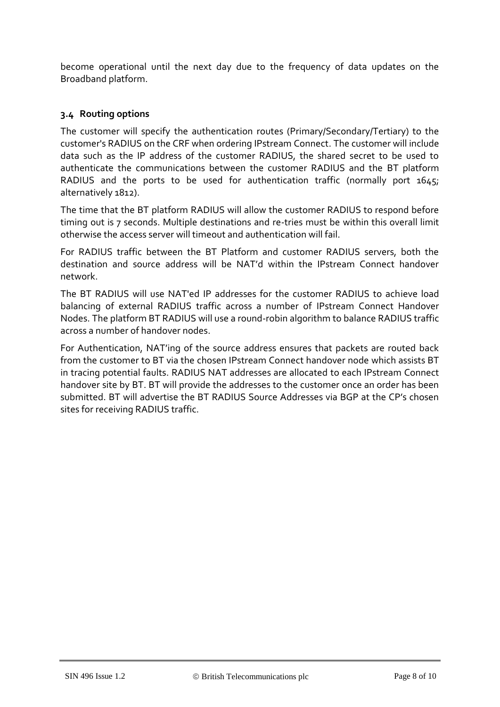become operational until the next day due to the frequency of data updates on the Broadband platform.

#### **3.4 Routing options**

The customer will specify the authentication routes (Primary/Secondary/Tertiary) to the customer's RADIUS on the CRF when ordering IPstream Connect. The customer will include data such as the IP address of the customer RADIUS, the shared secret to be used to authenticate the communications between the customer RADIUS and the BT platform RADIUS and the ports to be used for authentication traffic (normally port 1645; alternatively 1812).

The time that the BT platform RADIUS will allow the customer RADIUS to respond before timing out is 7 seconds. Multiple destinations and re-tries must be within this overall limit otherwise the access server will timeout and authentication will fail.

For RADIUS traffic between the BT Platform and customer RADIUS servers, both the destination and source address will be NAT'd within the IPstream Connect handover network.

The BT RADIUS will use NAT'ed IP addresses for the customer RADIUS to achieve load balancing of external RADIUS traffic across a number of IPstream Connect Handover Nodes. The platform BT RADIUS will use a round-robin algorithm to balance RADIUS traffic across a number of handover nodes.

For Authentication, NAT'ing of the source address ensures that packets are routed back from the customer to BT via the chosen IPstream Connect handover node which assists BT in tracing potential faults. RADIUS NAT addresses are allocated to each IPstream Connect handover site by BT. BT will provide the addresses to the customer once an order has been submitted. BT will advertise the BT RADIUS Source Addresses via BGP at the CP's chosen sites for receiving RADIUS traffic.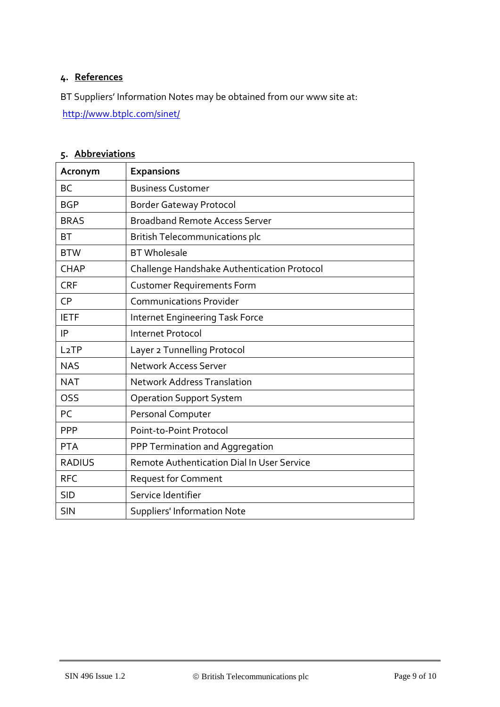## **4. References**

BT Suppliers' Information Notes may be obtained from our www site at:

<http://www.btplc.com/sinet/>

## **5. Abbreviations**

| Acronym           | <b>Expansions</b>                           |  |  |
|-------------------|---------------------------------------------|--|--|
| <b>BC</b>         | <b>Business Customer</b>                    |  |  |
| <b>BGP</b>        | <b>Border Gateway Protocol</b>              |  |  |
| <b>BRAS</b>       | <b>Broadband Remote Access Server</b>       |  |  |
| BT                | <b>British Telecommunications plc</b>       |  |  |
| <b>BTW</b>        | <b>BT</b> Wholesale                         |  |  |
| <b>CHAP</b>       | Challenge Handshake Authentication Protocol |  |  |
| <b>CRF</b>        | <b>Customer Requirements Form</b>           |  |  |
| <b>CP</b>         | <b>Communications Provider</b>              |  |  |
| <b>IETF</b>       | <b>Internet Engineering Task Force</b>      |  |  |
| IP                | Internet Protocol                           |  |  |
| L <sub>2</sub> TP | Layer 2 Tunnelling Protocol                 |  |  |
| <b>NAS</b>        | <b>Network Access Server</b>                |  |  |
| <b>NAT</b>        | <b>Network Address Translation</b>          |  |  |
| OSS               | <b>Operation Support System</b>             |  |  |
| PC                | Personal Computer                           |  |  |
| <b>PPP</b>        | Point-to-Point Protocol                     |  |  |
| <b>PTA</b>        | PPP Termination and Aggregation             |  |  |
| <b>RADIUS</b>     | Remote Authentication Dial In User Service  |  |  |
| <b>RFC</b>        | <b>Request for Comment</b>                  |  |  |
| <b>SID</b>        | Service Identifier                          |  |  |
| <b>SIN</b>        | <b>Suppliers' Information Note</b>          |  |  |